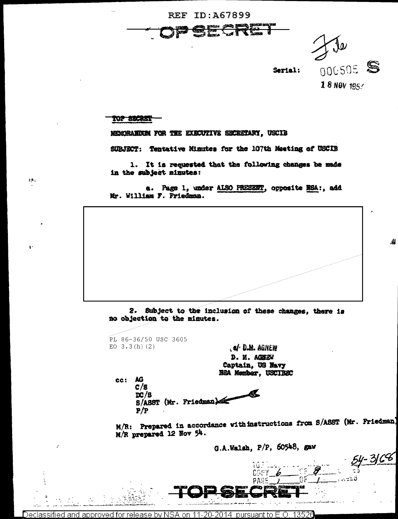



灎

54-3168

#### TOP SECRET

 $\Omega_{\rm{B}}$ 

MERCRAHURM FOR THE EXECUTIVE SECRETARY, USCID

SUBJECT: Tentative Minutes for the 107th Meeting of USCIB

1. It is requested that the following changes be made in the subject minutes:

a. Page 1, under ALSO PREEEET, opposite NSA:, add Mr. William F. Friedman.

Subject to the inclusion of these changes, there is  $2.$ no objection to the minutes.

PL 86-36/50 USC 3605 EO  $3.3(h)(2)$ 

S/ D.M. AGNEW D. M. AGHEW Captain, US Navy N&A Member, USCIBSC

ec: AG  $c/s$  $DC/8$ S/ASST (Mr. Friedman)

 $P/P$ 

M/R: Prepared in accordance with instructions from S/ASST (Mr. Friedman) M/R prepared 12 Nov 54.

G.A.Walsh, P/P, 60548, gaw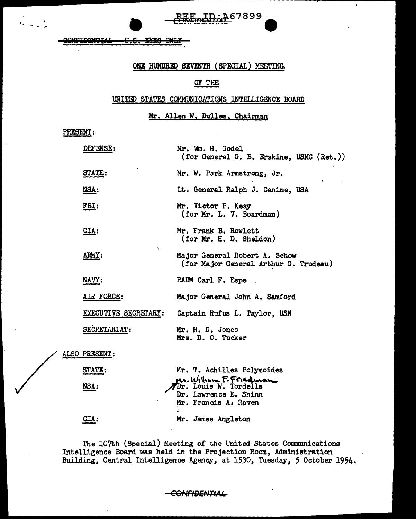**CONFIDENTIAL** U.S. EYES ONLY

## ONE HUNDRED SEVENTH (SPECIAL) MEETING.

ID:A67899

# OF THE

### UNITED STATES COMMUNICATIONS INTELLIGENCE BOARD

Mr. Allen W. Dulles, Chairman

PRESENT:

| <b>DEFENSE:</b>           | Mr. Wm. H. Godel<br>(for General G. B. Erskine, USMC (Ret.))                                     |
|---------------------------|--------------------------------------------------------------------------------------------------|
| STATE:                    | Mr. W. Park Armstrong, Jr.                                                                       |
| NSA:                      | Lt. General Ralph J. Canine, USA                                                                 |
| FBI:                      | Mr. Victor P. Keay<br>(for Mr. L. V. Boardman)                                                   |
| $CLA$ :                   | Mr. Frank B. Rowlett<br>(for Mr. H. D. Sheldon)                                                  |
| $\lambda$<br><b>ARMY:</b> | Major General Robert A. Schow<br>(for Major General Arthur G. Trudeau)                           |
| NAVY:                     | RADM Carl F. Espe                                                                                |
| AIR FORCE:                | Major General John A. Samford                                                                    |
| EXECUTIVE SECRETARY:      | Captain Rufus L. Taylor, USN                                                                     |
| SECRETARIAT:              | Mr. H. D. Jones<br>Mrs. D. O. Tucker                                                             |
| ALSO PRESENT:             |                                                                                                  |
| CHE A COTO                | $\mathbf{v}$ and $\mathbf{v}$ is a set of $\mathbf{v}$ in $\mathbf{v}$ . The set of $\mathbf{v}$ |

| <b>STATE:</b> | Mr. T. Achilles Polyzoides |
|---------------|----------------------------|
|               | Mr. Withsm F. Friedman     |
| <b>NSA:</b>   |                            |
|               | Dr. Lawrence E. Shinn      |
|               | Mr. Francis A. Raven       |
|               |                            |
| CIA:          | Mr. James Angleton         |
|               |                            |

The 107th (Special) Meeting of the United States Communications Intelligence Board was held in the Projection Room, Administration Building, Central Intelligence Agency, at 1530, Tuesday, 5 October 1954.

#### -CONFIDENTIAL